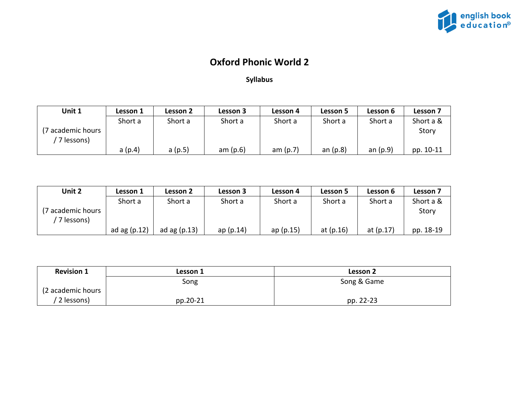

## **Oxford Phonic World 2**

## **Syllabus**

| Unit 1                          | Lesson 1 | Lesson 2 | Lesson 3   | Lesson 4   | Lesson 5   | Lesson 6   | Lesson 7  |
|---------------------------------|----------|----------|------------|------------|------------|------------|-----------|
|                                 | Short a  | Short a  | Short a    | Short a    | Short a    | Short a    | Short a & |
| (7 academic hours<br>7 lessons) |          |          |            |            |            |            | Story     |
|                                 | a(p.4)   | a(p.5)   | am $(p.6)$ | am $(p.7)$ | an $(p.8)$ | an $(p.9)$ | pp. 10-11 |

| Unit 2             | Lesson 1       | Lesson 2       | Lesson 3 | Lesson 4  | Lesson 5    | Lesson 6    | Lesson 7  |
|--------------------|----------------|----------------|----------|-----------|-------------|-------------|-----------|
|                    | Short a        | Short a        | Short a  | Short a   | Short a     | Short a     | Short a & |
| (7 academic hours) |                |                |          |           |             |             | Story     |
| 7 lessons)         |                |                |          |           |             |             |           |
|                    | ad ag $(p.12)$ | ad ag $(p.13)$ | ap(p.14) | ap (p.15) | at $(p.16)$ | at $(p.17)$ | pp. 18-19 |

| <b>Revision 1</b> | Lesson 1 | Lesson 2    |
|-------------------|----------|-------------|
|                   | Song     | Song & Game |
| (2 academic hours |          |             |
| 2 lessons)        | pp.20-21 | pp. 22-23   |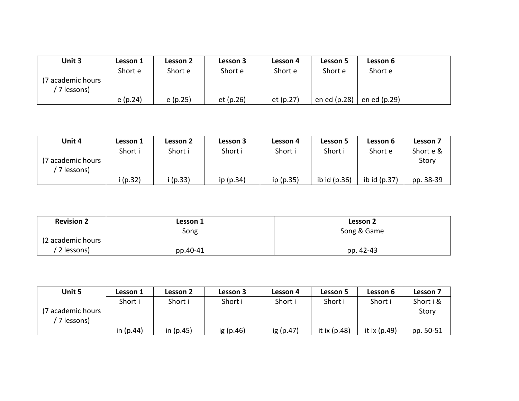| Unit 3             | Lesson 1 | Lesson 2 | Lesson 3  | Lesson 4  | Lesson 5     | Lesson 6     |  |
|--------------------|----------|----------|-----------|-----------|--------------|--------------|--|
|                    | Short e  | Short e  | Short e   | Short e   | Short e      | Short e      |  |
| (7 academic hours) |          |          |           |           |              |              |  |
| 7 lessons)         |          |          |           |           |              |              |  |
|                    | e(p.24)  | e(p.25)  | et (p.26) | et (p.27) | en ed (p.28) | en ed (p.29) |  |

| Unit 4                           | Lesson 1 | Lesson 2 | Lesson 3  | Lesson 4  | Lesson 5       | Lesson 6       | Lesson 7  |
|----------------------------------|----------|----------|-----------|-----------|----------------|----------------|-----------|
|                                  | Short i  | Short i  | Short i   | Short i   | Short i        | Short e        | Short e & |
| (7 academic hours)<br>7 lessons) |          |          |           |           |                |                | Story     |
|                                  | (p.32)   | (p.33)   | ip (p.34) | ip (p.35) | ib id $(p.36)$ | ib id $(p.37)$ | pp. 38-39 |

| <b>Revision 2</b> | Lesson 1 | Lesson 2    |
|-------------------|----------|-------------|
|                   | Song     | Song & Game |
| (2 academic hours |          |             |
| 2 lessons)        | pp.40-41 | pp. 42-43   |

| Unit 5                          | Lesson 1    | Lesson 2    | Lesson 3  | Lesson 4  | Lesson 5       | Lesson 6       | <b>Lesson 7</b> |
|---------------------------------|-------------|-------------|-----------|-----------|----------------|----------------|-----------------|
|                                 | Short i     | Short i     | Short i   | Short i   | Short i        | Short i        | Short i &       |
| 7 academic hours)<br>7 lessons) |             |             |           |           |                |                | Story           |
|                                 | in $(p.44)$ | in $(p.45)$ | ig (p.46) | ig (p.47) | it ix $(p.48)$ | it ix $(p.49)$ | pp. 50-51       |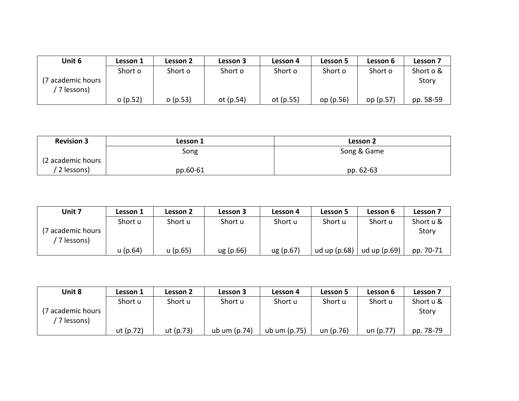| Unit 6           | Lesson 1 | Lesson 2 | Lesson 3    | Lesson 4  | Lesson 5  | Lesson 6  | Lesson 7  |
|------------------|----------|----------|-------------|-----------|-----------|-----------|-----------|
|                  | Short o  | Short o  | Short o     | Short o   | Short o   | Short o   | Short o & |
| 7 academic hours |          |          |             |           |           |           | Story     |
| 7 lessons)       |          |          |             |           |           |           |           |
|                  | o(p.52)  | o(p.53)  | ot $(p.54)$ | ot (p.55) | op (p.56) | op (p.57) | pp. 58-59 |

| <b>Revision 3</b> | Lesson 1 | Lesson 2    |
|-------------------|----------|-------------|
|                   | Song     | Song & Game |
| (2 academic hours |          |             |
| 2 lessons)        | pp.60-61 | pp. 62-63   |

| Unit 7                         | Lesson 1   | Lesson 2   | Lesson 3  | Lesson 4  | Lesson 5       | Lesson 6       | Lesson 7  |
|--------------------------------|------------|------------|-----------|-----------|----------------|----------------|-----------|
|                                | Short u    | Short u    | Short u   | Short u   | Short u        | Short u        | Short u & |
| 7 academic hours<br>7 lessons) |            |            |           |           |                |                | Story     |
|                                | $u$ (p.64) | $u$ (p.65) | ug (p.66) | ug (p.67) | ud up $(p.68)$ | ud up $(p.69)$ | pp. 70-71 |

| Unit 8             | Lesson 1    | Lesson 2  | Lesson 3       | Lesson 4     | Lesson 5  | Lesson 6    | Lesson 7  |
|--------------------|-------------|-----------|----------------|--------------|-----------|-------------|-----------|
|                    | Short u     | Short u   | Short u        | Short u      | Short u   | Short u     | Short u & |
| (7 academic hours) |             |           |                |              |           |             | Story     |
| 7 lessons)         | ut $(p.72)$ | ut (p.73) | ub um $(p.74)$ | ub um (p.75) | un (p.76) | un $(p.77)$ | pp. 78-79 |